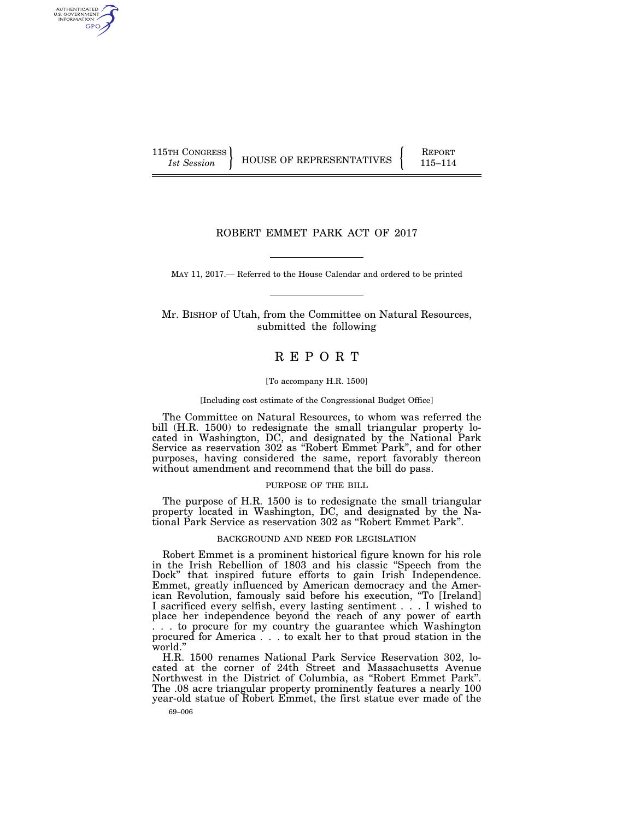AUTHENTICATED<br>U.S. GOVERNMENT<br>INFORMATION GPO

115TH CONGRESS **REPORT 115TH CONGRESS** HOUSE OF REPRESENTATIVES **115–114** 

# ROBERT EMMET PARK ACT OF 2017

MAY 11, 2017.— Referred to the House Calendar and ordered to be printed

Mr. BISHOP of Utah, from the Committee on Natural Resources, submitted the following

# R E P O R T

#### [To accompany H.R. 1500]

#### [Including cost estimate of the Congressional Budget Office]

The Committee on Natural Resources, to whom was referred the bill (H.R. 1500) to redesignate the small triangular property located in Washington, DC, and designated by the National Park Service as reservation 302 as ''Robert Emmet Park'', and for other purposes, having considered the same, report favorably thereon without amendment and recommend that the bill do pass.

#### PURPOSE OF THE BILL

The purpose of H.R. 1500 is to redesignate the small triangular property located in Washington, DC, and designated by the National Park Service as reservation 302 as ''Robert Emmet Park''.

#### BACKGROUND AND NEED FOR LEGISLATION

Robert Emmet is a prominent historical figure known for his role in the Irish Rebellion of 1803 and his classic ''Speech from the Dock" that inspired future efforts to gain Irish Independence. Emmet, greatly influenced by American democracy and the American Revolution, famously said before his execution, ''To [Ireland] I sacrificed every selfish, every lasting sentiment . . . I wished to place her independence beyond the reach of any power of earth . . . to procure for my country the guarantee which Washington procured for America . . . to exalt her to that proud station in the world.''

H.R. 1500 renames National Park Service Reservation 302, located at the corner of 24th Street and Massachusetts Avenue Northwest in the District of Columbia, as ''Robert Emmet Park''. The .08 acre triangular property prominently features a nearly 100 year-old statue of Robert Emmet, the first statue ever made of the

69–006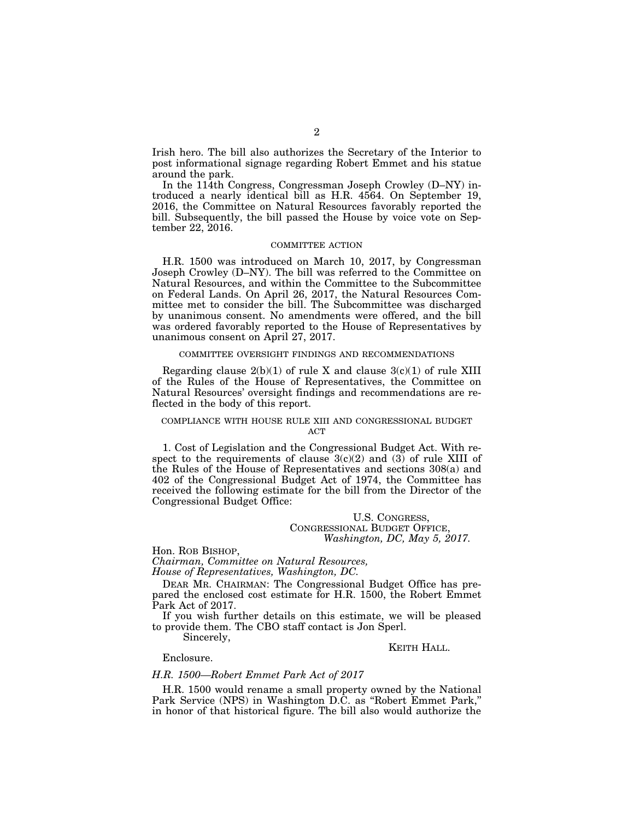Irish hero. The bill also authorizes the Secretary of the Interior to post informational signage regarding Robert Emmet and his statue around the park.

In the 114th Congress, Congressman Joseph Crowley (D–NY) introduced a nearly identical bill as H.R. 4564. On September 19, 2016, the Committee on Natural Resources favorably reported the bill. Subsequently, the bill passed the House by voice vote on September 22, 2016.

#### COMMITTEE ACTION

H.R. 1500 was introduced on March 10, 2017, by Congressman Joseph Crowley (D–NY). The bill was referred to the Committee on Natural Resources, and within the Committee to the Subcommittee on Federal Lands. On April 26, 2017, the Natural Resources Committee met to consider the bill. The Subcommittee was discharged by unanimous consent. No amendments were offered, and the bill was ordered favorably reported to the House of Representatives by unanimous consent on April 27, 2017.

#### COMMITTEE OVERSIGHT FINDINGS AND RECOMMENDATIONS

Regarding clause  $2(b)(1)$  of rule X and clause  $3(c)(1)$  of rule XIII of the Rules of the House of Representatives, the Committee on Natural Resources' oversight findings and recommendations are reflected in the body of this report.

### COMPLIANCE WITH HOUSE RULE XIII AND CONGRESSIONAL BUDGET  $ACT$

1. Cost of Legislation and the Congressional Budget Act. With respect to the requirements of clause  $3(c)(2)$  and  $(3)$  of rule XIII of the Rules of the House of Representatives and sections 308(a) and 402 of the Congressional Budget Act of 1974, the Committee has received the following estimate for the bill from the Director of the Congressional Budget Office:

### U.S. CONGRESS, CONGRESSIONAL BUDGET OFFICE, *Washington, DC, May 5, 2017.*

Hon. ROB BISHOP,

*Chairman, Committee on Natural Resources, House of Representatives, Washington, DC.* 

DEAR MR. CHAIRMAN: The Congressional Budget Office has prepared the enclosed cost estimate for H.R. 1500, the Robert Emmet Park Act of 2017.

If you wish further details on this estimate, we will be pleased to provide them. The CBO staff contact is Jon Sperl.

Sincerely,

### KEITH HALL.

Enclosure.

### *H.R. 1500—Robert Emmet Park Act of 2017*

H.R. 1500 would rename a small property owned by the National Park Service (NPS) in Washington D.C. as ''Robert Emmet Park,'' in honor of that historical figure. The bill also would authorize the